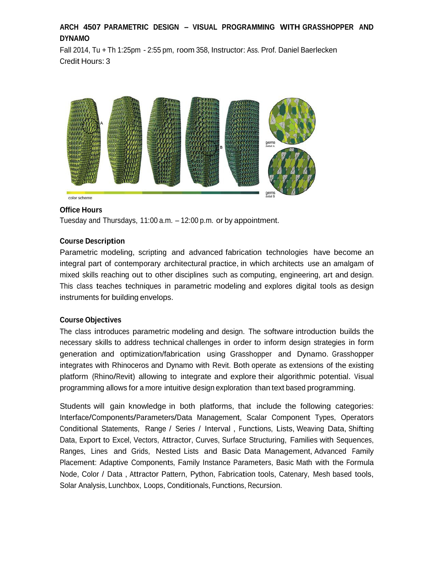# **ARCH 4507 PARAMETRIC DESIGN – VISUAL PROGRAMMING WITH GRASSHOPPER AND DYNAMO**

Fall 2014, Tu + Th 1:25pm - 2:55 pm, room 358, Instructor: Ass. Prof. Daniel Baerlecken Credit Hours: 3



# **Office Hours**

Tuesday and Thursdays, 11:00 a.m. – 12:00 p.m. or by appointment.

#### **Course Description**

Parametric modeling, scripting and advanced fabrication technologies have become an integral part of contemporary architectural practice, in which architects use an amalgam of mixed skills reaching out to other disciplines such as computing, engineering, art and design. This class teaches techniques in parametric modeling and explores digital tools as design instruments for building envelops.

#### **Course Objectives**

The class introduces parametric modeling and design. The software introduction builds the necessary skills to address technical challenges in order to inform design strategies in form generation and optimization/fabrication using Grasshopper and Dynamo. Grasshopper integrates with Rhinoceros and Dynamo with Revit. Both operate as extensions of the existing platform (Rhino/Revit) allowing to integrate and explore their algorithmic potential. Visual programming allows for a more intuitive design exploration than text based programming.

Students will gain knowledge in both platforms, that include the following categories: Interface/Components/Parameters/Data Management, Scalar Component Types, Operators Conditional Statements, Range / Series / Interval , Functions, Lists, Weaving Data, Shifting Data, Export to Excel, Vectors, Attractor, Curves, Surface Structuring, Families with Sequences, Ranges, Lines and Grids, Nested Lists and Basic Data Management, Advanced Family Placement: Adaptive Components, Family Instance Parameters, Basic Math with the Formula Node, Color / Data , Attractor Pattern, Python, Fabrication tools, Catenary, Mesh based tools, Solar Analysis, Lunchbox, Loops, Conditionals, Functions, Recursion.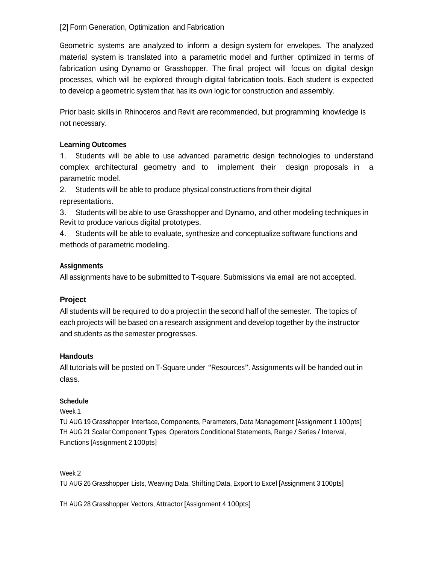# [2] Form Generation, Optimization and Fabrication

Geometric systems are analyzed to inform a design system for envelopes. The analyzed material system is translated into a parametric model and further optimized in terms of fabrication using Dynamo or Grasshopper. The final project will focus on digital design processes, which will be explored through digital fabrication tools. Each student is expected to develop a geometric system that has its own logic for construction and assembly.

Prior basic skills in Rhinoceros and Revit are recommended, but programming knowledge is not necessary.

# **Learning Outcomes**

1. Students will be able to use advanced parametric design technologies to understand complex architectural geometry and to implement their design proposals in a parametric model.

2. Students will be able to produce physical constructions from their digital representations.

3. Students will be able to use Grasshopper and Dynamo, and other modeling techniques in Revit to produce various digital prototypes.

4. Students will be able to evaluate, synthesize and conceptualize software functions and methods of parametric modeling.

# **Assignments**

All assignments have to be submitted to T-square. Submissions via email are not accepted.

# **Project**

All students will be required to do a project in the second half of the semester. The topics of each projects will be based on a research assignment and develop together by the instructor and students as the semester progresses.

# **Handouts**

All tutorials will be posted on T-Square under "Resources". Assignments will be handed out in class.

# **Schedule**

Week 1

TU AUG 19 Grasshopper Interface, Components, Parameters, Data Management [Assignment 1 100pts] TH AUG <sup>21</sup> Scalar Component Types, Operators Conditional Statements, Range / Series / Interval, Functions [Assignment 2 100pts]

# Week 2

TU AUG 26 Grasshopper Lists, Weaving Data, Shifting Data, Export to Excel [Assignment 3 100pts]

TH AUG 28 Grasshopper Vectors, Attractor [Assignment 4 100pts]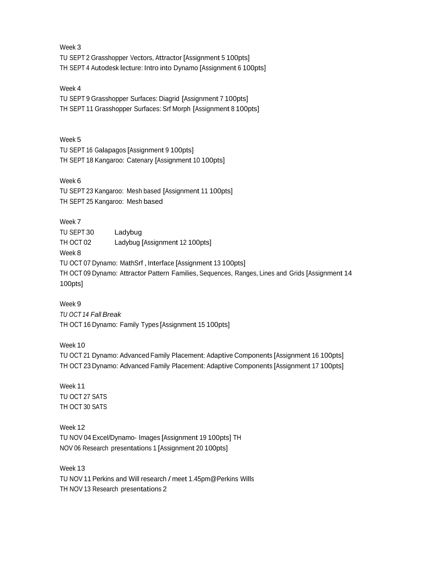Week 3 TU SEPT 2 Grasshopper Vectors, Attractor [Assignment 5 100pts] TH SEPT 4 Autodesk lecture: Intro into Dynamo [Assignment 6 100pts]

#### Week 4

TU SEPT 9 Grasshopper Surfaces: Diagrid [Assignment 7 100pts] TH SEPT 11 Grasshopper Surfaces: Srf Morph [Assignment 8 100pts]

Week 5

TU SEPT <sup>16</sup> Galapagos [Assignment 9 100pts] TH SEPT 18 Kangaroo: Catenary [Assignment 10 100pts]

Week 6

TU SEPT 23 Kangaroo: Mesh based [Assignment 11 100pts] TH SEPT 25 Kangaroo: Mesh based

Week 7

TU SEPT 30 Ladybug TH OCT 02 Ladybug [Assignment 12 100pts] Week 8 TU OCT 07 Dynamo: MathSrf , Interface [Assignment 13 100pts] TH OCT 09 Dynamo: Attractor Pattern Families, Sequences, Ranges, Lines and Grids [Assignment 14 100pts]

Week 9 *TU OCT 14 Fall Break* TH OCT 16 Dynamo: Family Types [Assignment 15 100pts]

Week 10

TU OCT 21 Dynamo: Advanced Family Placement: Adaptive Components [Assignment 16 100pts] TH OCT 23 Dynamo: Advanced Family Placement: Adaptive Components [Assignment 17 100pts]

Week 11 TU OCT 27 SATS TH OCT 30 SATS

Week 12 TU NOV 04 Excel/Dynamo- Images [Assignment 19 100pts] TH NOV 06 Research presentations 1 [Assignment 20 100pts]

Week 13 TU NOV 11 Perkins and Will research / meet 1.45pm@Perkins Wills TH NOV 13 Research presentations 2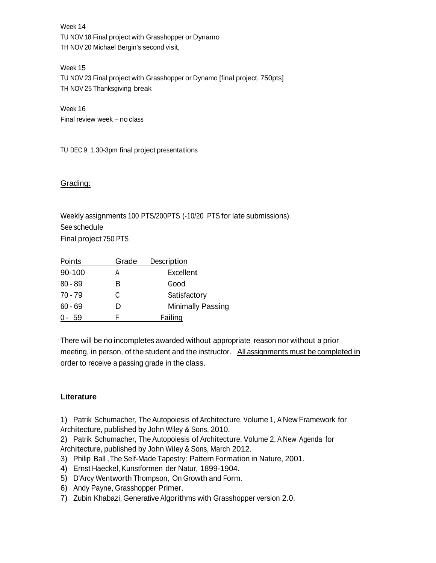Week 14 TU NOV 18 Final project with Grasshopper or Dynamo TH NOV 20 Michael Bergin's second visit,

Week 15 TU NOV 23 Final project with Grasshopper or Dynamo [final project, 750pts] TH NOV 25 Thanksgiving break

Week 16 Final review week – no class

TU DEC 9, 1.30-3pm final project presentations

# Grading:

Weekly assignments 100 PTS/200PTS (-10/20 PTS for late submissions). See schedule Final project 750 PTS

| Points    | Grade | Description              |
|-----------|-------|--------------------------|
| 90-100    | А     | Excellent                |
| $80 - 89$ | R     | Good                     |
| $70 - 79$ | C     | Satisfactory             |
| $60 - 69$ |       | <b>Minimally Passing</b> |
| 0-59      |       | Failing                  |

There will be no incompletes awarded without appropriate reason nor without a prior meeting, in person, of the student and the instructor. All assignments must be completed in order to receive a passing grade in the class.

# **Literature**

1) Patrik Schumacher, The Autopoiesis of Architecture, Volume 1, A New Framework for Architecture, published by John Wiley & Sons, 2010.

2) Patrik Schumacher, The Autopoiesis of Architecture, Volume 2, A New Agenda for Architecture, published by John Wiley & Sons, March 2012.

- 3) Philip Ball ,The Self-Made Tapestry: Pattern Formation in Nature, 2001.
- 4) Ernst Haeckel, Kunstformen der Natur, 1899-1904.
- 5) D'Arcy Wentworth Thompson, On Growth and Form.
- 6) Andy Payne, Grasshopper Primer.
- 7) Zubin Khabazi, Generative Algorithms with Grasshopper version 2.0.